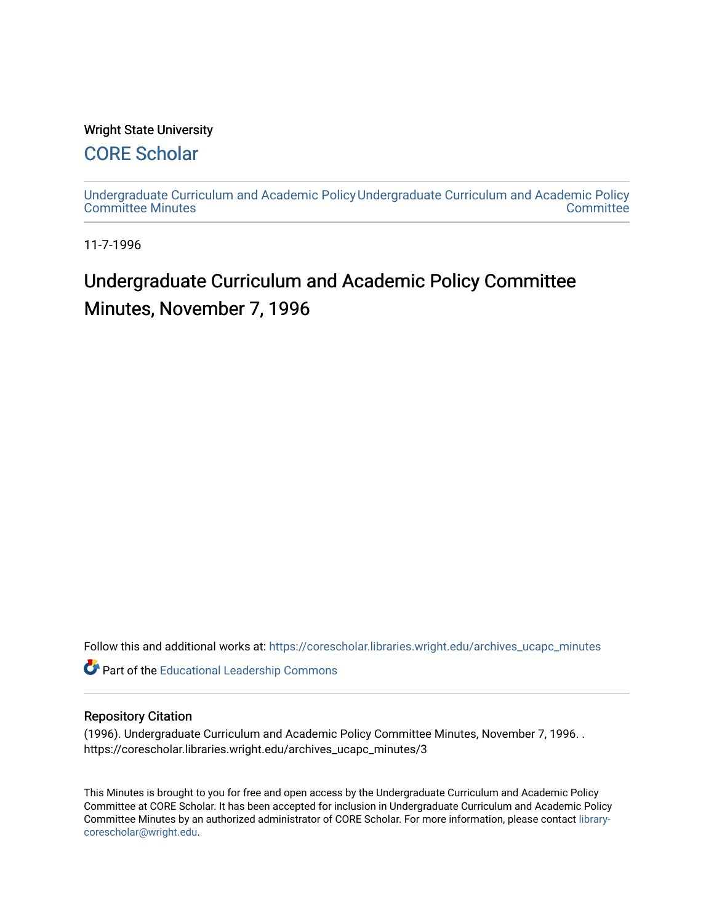#### Wright State University

### [CORE Scholar](https://corescholar.libraries.wright.edu/)

[Undergraduate Curriculum and Academic Policy](https://corescholar.libraries.wright.edu/archives_ucapc_minutes) [Undergraduate Curriculum and Academic Policy](https://corescholar.libraries.wright.edu/archives_ucapc)  [Committee Minutes](https://corescholar.libraries.wright.edu/archives_ucapc_minutes) **Committee** 

11-7-1996

## Undergraduate Curriculum and Academic Policy Committee Minutes, November 7, 1996

Follow this and additional works at: [https://corescholar.libraries.wright.edu/archives\\_ucapc\\_minutes](https://corescholar.libraries.wright.edu/archives_ucapc_minutes?utm_source=corescholar.libraries.wright.edu%2Farchives_ucapc_minutes%2F3&utm_medium=PDF&utm_campaign=PDFCoverPages) 

Part of the [Educational Leadership Commons](http://network.bepress.com/hgg/discipline/1230?utm_source=corescholar.libraries.wright.edu%2Farchives_ucapc_minutes%2F3&utm_medium=PDF&utm_campaign=PDFCoverPages) 

#### Repository Citation

(1996). Undergraduate Curriculum and Academic Policy Committee Minutes, November 7, 1996. . https://corescholar.libraries.wright.edu/archives\_ucapc\_minutes/3

This Minutes is brought to you for free and open access by the Undergraduate Curriculum and Academic Policy Committee at CORE Scholar. It has been accepted for inclusion in Undergraduate Curriculum and Academic Policy Committee Minutes by an authorized administrator of CORE Scholar. For more information, please contact [library](mailto:library-corescholar@wright.edu)[corescholar@wright.edu](mailto:library-corescholar@wright.edu).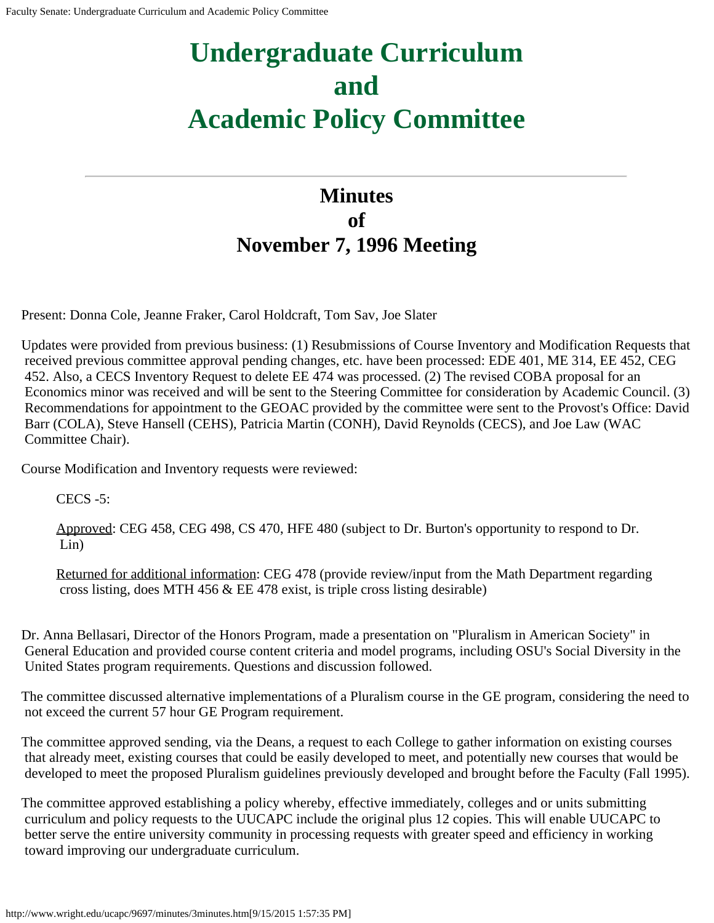# **Undergraduate Curriculum and Academic Policy Committee**

## **Minutes of November 7, 1996 Meeting**

Present: Donna Cole, Jeanne Fraker, Carol Holdcraft, Tom Sav, Joe Slater

Updates were provided from previous business: (1) Resubmissions of Course Inventory and Modification Requests that received previous committee approval pending changes, etc. have been processed: EDE 401, ME 314, EE 452, CEG 452. Also, a CECS Inventory Request to delete EE 474 was processed. (2) The revised COBA proposal for an Economics minor was received and will be sent to the Steering Committee for consideration by Academic Council. (3) Recommendations for appointment to the GEOAC provided by the committee were sent to the Provost's Office: David Barr (COLA), Steve Hansell (CEHS), Patricia Martin (CONH), David Reynolds (CECS), and Joe Law (WAC Committee Chair).

Course Modification and Inventory requests were reviewed:

CECS -5:

Approved: CEG 458, CEG 498, CS 470, HFE 480 (subject to Dr. Burton's opportunity to respond to Dr. Lin)

Returned for additional information: CEG 478 (provide review/input from the Math Department regarding cross listing, does MTH 456 & EE 478 exist, is triple cross listing desirable)

Dr. Anna Bellasari, Director of the Honors Program, made a presentation on "Pluralism in American Society" in General Education and provided course content criteria and model programs, including OSU's Social Diversity in the United States program requirements. Questions and discussion followed.

The committee discussed alternative implementations of a Pluralism course in the GE program, considering the need to not exceed the current 57 hour GE Program requirement.

The committee approved sending, via the Deans, a request to each College to gather information on existing courses that already meet, existing courses that could be easily developed to meet, and potentially new courses that would be developed to meet the proposed Pluralism guidelines previously developed and brought before the Faculty (Fall 1995).

The committee approved establishing a policy whereby, effective immediately, colleges and or units submitting curriculum and policy requests to the UUCAPC include the original plus 12 copies. This will enable UUCAPC to better serve the entire university community in processing requests with greater speed and efficiency in working toward improving our undergraduate curriculum.